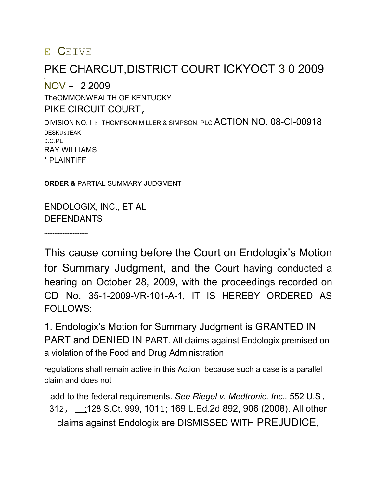### E CEIVE

**ht**

### PKE CHARCUT,DISTRICT COURT ICKYOCT 3 0 2009

NOV - *2* 2009 TheOMMONWEALTH OF KENTUCKY PIKE CIRCUIT COURT,

DIVISION NO. I *6* THOMPSON MILLER & SIMPSON, PLC ACTION NO. 08-CI-00918 DESKUSTEAK 0.C.PL RAY WILLIAMS \* PLAINTIFF

**ORDER &** PARTIAL SUMMARY JUDGMENT

ENDOLOGIX, INC., ET AL DEFENDANTS

**\*\*\*\*\*\*\*\*\*\*\*\*\*\*\*\*\*\*\*\*\*\*\*\*\*\***

This cause coming before the Court on Endologix's Motion for Summary Judgment, and the Court having conducted a hearing on October 28, 2009, with the proceedings recorded on CD No. 35-1-2009-VR-101-A-1, IT IS HEREBY ORDERED AS FOLLOWS:

1. Endologix's Motion for Summary Judgment is GRANTED IN PART and DENIED IN PART. All claims against Endologix premised on a violation of the Food and Drug Administration

regulations shall remain active in this Action, because such a case is a parallel claim and does not

add to the federal requirements. *See Riegel v. Medtronic, Inc.,* 552 U.S. 312, \_\_;128 S.Ct. 999, 1011; 169 L.Ed.2d 892, 906 (2008). All other claims against Endologix are DISMISSED WITH PREJUDICE,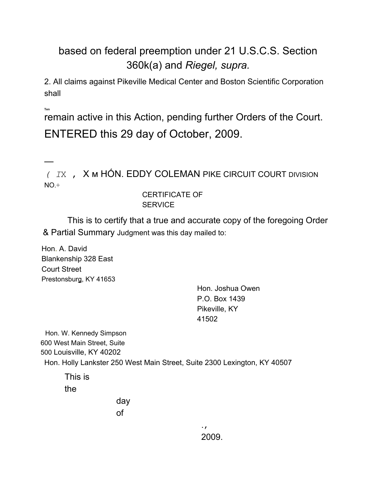### based on federal preemption under 21 U.S.C.S. Section 360k(a) and *Riegel, supra.*

2. All claims against Pikeville Medical Center and Boston Scientific Corporation shall

**Ten**

—

remain active in this Action, pending further Orders of the Court. ENTERED this 29 day of October, 2009.

*( I*X , X м HÓN. EDDY COLEMAN PIKE CIRCUIT COURT DIVISION  $NO.+$ 

#### CERTIFICATE OF **SERVICE**

This is to certify that a true and accurate copy of the foregoing Order & Partial Summary Judgment was this day mailed to:

Hon. A. David Blankenship 328 East Court Street Prestonsburg, KY 41653

> Hon. Joshua Owen P.O. Box 1439 Pikeville, KY 41502

Hon. W. Kennedy Simpson 600 West Main Street, Suite 500 Louisville, KY 40202 Hon. Holly Lankster 250 West Main Street, Suite 2300 Lexington, KY 40507

This is the

day of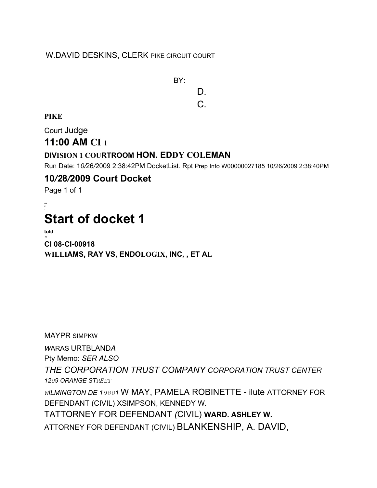#### W.DAVID DESKINS, CLERK PIKE CIRCUIT COURT

BY: D. C.

**PIKE**

Court Judge

#### **11:00 AM CI** 1

#### **DIVISION 1 COURTROOM HON. EDDY COLEMAN**

Run Date: 1*0/*26*/*2009 2:38:42PM DocketList. Rpt Prep Info W00000027185 10/26/2009 2:38:40PM

#### **10***/2***8***/***2009 Court Docket**

Page 1 of 1

AN K

# **Start of docket 1**

**told** -40 **CI 08-CI-00918 WILLIAMS, RAY VS, ENDOLOGIX, INC, , ET AL**

MAYPR SIMPKW *W*ARAS URTBLAND*A* Pty Memo: *SER ALSO THE CORPORATION TRUST COMPANY CORPORATION TRUST CENTER 1209 ORANGE STREET WILMINGTON DE 19801* W MAY, PAMELA ROBINETTE - ilute ATTORNEY FOR DEFENDANT (CIVIL) XSIMPSON, KENNEDY W*.* TATTORNEY FOR DEFENDANT *(*CIVIL) **WARD. ASHLEY W.** ATTORNEY FOR DEFENDANT (CIVIL) BLANKENSHIP, A. DAVID,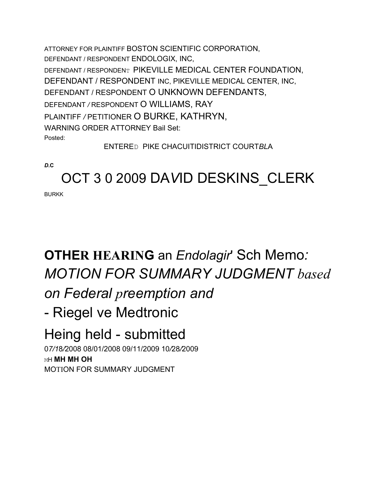ATTORNEY FOR PLAINTIFF BOSTON SCIENTIFIC CORPORATION, DEFENDANT / RESPONDENT ENDOLOGIX, INC, DEFENDANT / RESPONDENT PIKEVILLE MEDICAL CENTER FOUNDATION, DEFENDANT / RESPONDENT INC, PIKEVILLE MEDICAL CENTER, INC, DEFENDANT / RESPONDENT O UNKNOWN DEFENDANTS, DEFENDANT */* RESPONDENT O WILLIAMS, RAY PLAINTIFF */* PETITIONER O BURKE, KATHRYN, WARNING ORDER ATTORNEY Bail Set: Posted: ENTERED PIKE CHACUITIDISTRICT COURT*BL*A

*D***.C**

## OCT 3 0 2009 DA*V*ID DESKINS\_CLERK

**BURKK** 

# **OTHER HEARING** an *Endolagir*' Sch Memo*: MOTION FOR SUMMARY JUDGMENT based*

## *on Federal preemption and*

## - Riegel ve Medtronic

# Heing held - submitted

0*7/1*8*/*2008 08/01/2008 09/11/2009 10*/*28*/*2009 MH **MH MH OH** MOTION FOR SUMMARY JUDGMENT